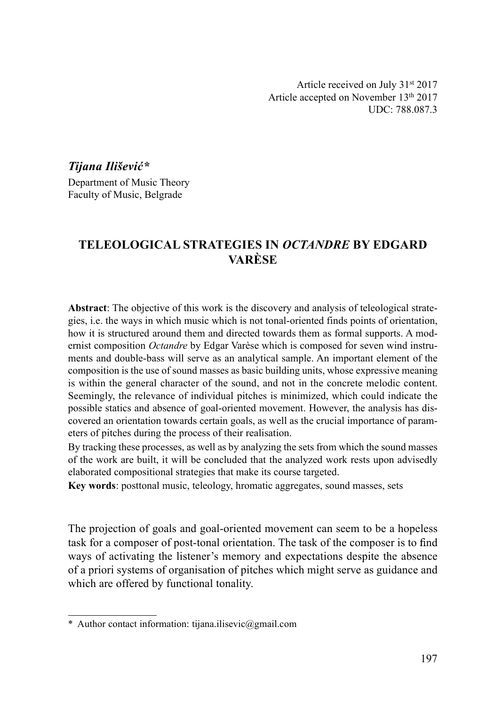Article received on July 31st 2017 Article accepted on November 13th 2017 UDC: 788.087.3

Tijana Ilišević\*

Department of Music Theory Faculty of Music, Belgrade

# TELEOLOGICAL STRATEGIES IN OCTANDRE BY EDGARD VARÈSE

Abstract: The objective of this work is the discovery and analysis of teleological strategies, i.e. the ways in which music which is not tonal-oriented finds points of orientation, how it is structured around them and directed towards them as formal supports. A modernist composition *Octandre* by Edgar Varèse which is composed for seven wind instruments and double-bass will serve as an analytical sample. An important element of the composition is the use of sound masses as basic building units, whose expressive meaning is within the general character of the sound, and not in the concrete melodic content. Seemingly, the relevance of individual pitches is minimized, which could indicate the possible statics and absence of goal-oriented movement. However, the analysis has discovered an orientation towards certain goals, as well as the crucial importance of parameters of pitches during the process of their realisation.

By tracking these processes, as well as by analyzing the sets from which the sound masses of the work are built, it will be concluded that the analyzed work rests upon advisedly elaborated compositional strategies that make its course targeted.

Key words: posttonal music, teleology, hromatic aggregates, sound masses, sets

The projection of goals and goal-oriented movement can seem to be a hopeless task for a composer of post-tonal orientation. The task of the composer is to find ways of activating the listener's memory and expectations despite the absence of a priori systems of organisation of pitches which might serve as guidance and which are offered by functional tonality.

<sup>\*</sup> Author contact information: tijana.ilisevic@gmail.com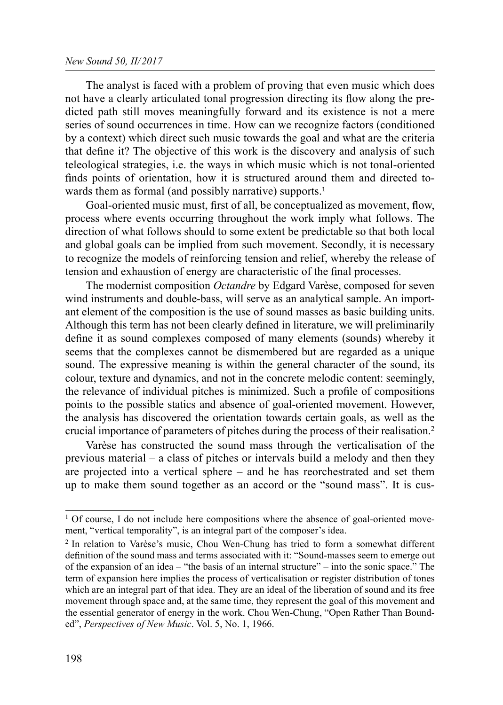The analyst is faced with a problem of proving that even music which does not have a clearly articulated tonal progression directing its flow along the predicted path still moves meaningfully forward and its existence is not a mere series of sound occurrences in time. How can we recognize factors (conditioned by a context) which direct such music towards the goal and what are the criteria that define it? The objective of this work is the discovery and analysis of such teleological strategies, i.e. the ways in which music which is not tonal-oriented finds points of orientation, how it is structured around them and directed towards them as formal (and possibly narrative) supports.<sup>1</sup>

Goal-oriented music must, first of all, be conceptualized as movement, flow, process where events occurring throughout the work imply what follows. The direction of what follows should to some extent be predictable so that both local and global goals can be implied from such movement. Secondly, it is necessary to recognize the models of reinforcing tension and relief, whereby the release of tension and exhaustion of energy are characteristic of the final processes.

The modernist composition *Octandre* by Edgard Varèse, composed for seven wind instruments and double-bass, will serve as an analytical sample. An important element of the composition is the use of sound masses as basic building units. Although this term has not been clearly defined in literature, we will preliminarily define it as sound complexes composed of many elements (sounds) whereby it seems that the complexes cannot be dismembered but are regarded as a unique sound. The expressive meaning is within the general character of the sound, its colour, texture and dynamics, and not in the concrete melodic content: seemingly, the relevance of individual pitches is minimized. Such a profile of compositions points to the possible statics and absence of goal-oriented movement. However, the analysis has discovered the orientation towards certain goals, as well as the crucial importance of parameters of pitches during the process of their realisation.2

Varèse has constructed the sound mass through the verticalisation of the previous material – a class of pitches or intervals build a melody and then they are projected into a vertical sphere – and he has reorchestrated and set them up to make them sound together as an accord or the "sound mass". It is cus-

 $1$  Of course, I do not include here compositions where the absence of goal-oriented movement, "vertical temporality", is an integral part of the composer's idea.

<sup>2</sup> In relation to Varèse's music, Chou Wen-Chung has tried to form a somewhat different definition of the sound mass and terms associated with it: "Sound-masses seem to emerge out of the expansion of an idea – "the basis of an internal structure" – into the sonic space." The term of expansion here implies the process of verticalisation or register distribution of tones which are an integral part of that idea. They are an ideal of the liberation of sound and its free movement through space and, at the same time, they represent the goal of this movement and the essential generator of energy in the work. Chou Wen-Chung, "Open Rather Than Bounded", Perspectives of New Music. Vol. 5, No. 1, 1966.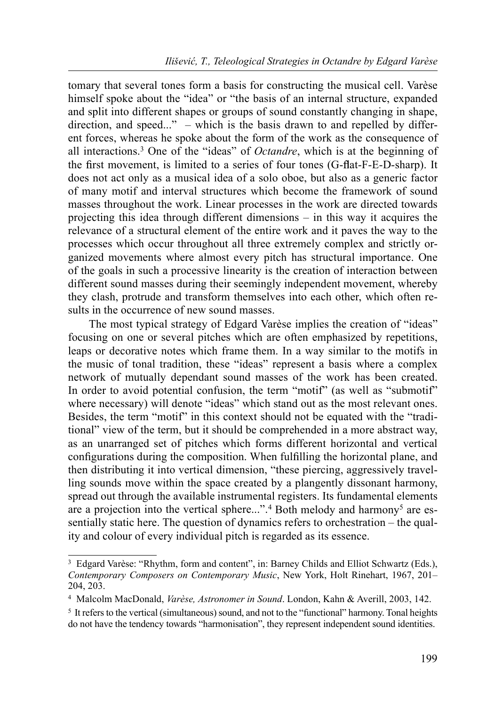tomary that several tones form a basis for constructing the musical cell. Varèse himself spoke about the "idea" or "the basis of an internal structure, expanded and split into different shapes or groups of sound constantly changing in shape, direction, and speed..." – which is the basis drawn to and repelled by different forces, whereas he spoke about the form of the work as the consequence of all interactions.3 One of the "ideas" of Octandre, which is at the beginning of the first movement, is limited to a series of four tones (G-flat-F-E-D-sharp). It does not act only as a musical idea of a solo oboe, but also as a generic factor of many motif and interval structures which become the framework of sound masses throughout the work. Linear processes in the work are directed towards projecting this idea through different dimensions – in this way it acquires the relevance of a structural element of the entire work and it paves the way to the processes which occur throughout all three extremely complex and strictly organized movements where almost every pitch has structural importance. One of the goals in such a processive linearity is the creation of interaction between different sound masses during their seemingly independent movement, whereby they clash, protrude and transform themselves into each other, which often results in the occurrence of new sound masses.

The most typical strategy of Edgard Varèse implies the creation of "ideas" focusing on one or several pitches which are often emphasized by repetitions, leaps or decorative notes which frame them. In a way similar to the motifs in the music of tonal tradition, these "ideas" represent a basis where a complex network of mutually dependant sound masses of the work has been created. In order to avoid potential confusion, the term "motif" (as well as "submotif" where necessary) will denote "ideas" which stand out as the most relevant ones. Besides, the term "motif" in this context should not be equated with the "traditional" view of the term, but it should be comprehended in a more abstract way, as an unarranged set of pitches which forms different horizontal and vertical configurations during the composition. When fulfilling the horizontal plane, and then distributing it into vertical dimension, "these piercing, aggressively travelling sounds move within the space created by a plangently dissonant harmony, spread out through the available instrumental registers. Its fundamental elements are a projection into the vertical sphere...".<sup>4</sup> Both melody and harmony<sup>5</sup> are essentially static here. The question of dynamics refers to orchestration – the quality and colour of every individual pitch is regarded as its essence.

<sup>&</sup>lt;sup>3</sup> Edgard Varèse: "Rhythm, form and content", in: Barney Childs and Elliot Schwartz (Eds.), Contemporary Composers on Contemporary Music, New York, Holt Rinehart, 1967, 201– 204, 203.

<sup>4</sup> Malcolm MacDonald, Varèse, Astronomer in Sound. London, Kahn & Averill, 2003, 142.

<sup>5</sup> It refers to the vertical (simultaneous) sound, and not to the "functional" harmony. Tonal heights do not have the tendency towards "harmonisation", they represent independent sound identities.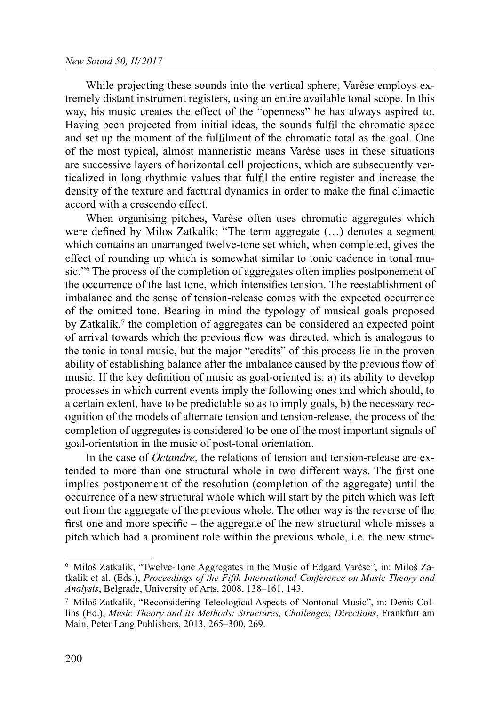While projecting these sounds into the vertical sphere, Varèse employs extremely distant instrument registers, using an entire available tonal scope. In this way, his music creates the effect of the "openness" he has always aspired to. Having been projected from initial ideas, the sounds fulfil the chromatic space and set up the moment of the fulfilment of the chromatic total as the goal. One of the most typical, almost manneristic means Varèse uses in these situations are successive layers of horizontal cell projections, which are subsequently verticalized in long rhythmic values that fulfil the entire register and increase the density of the texture and factural dynamics in order to make the final climactic accord with a crescendo effect.

When organising pitches. Varèse often uses chromatic aggregates which were defined by Milos Zatkalik: "The term aggregate  $(\ldots)$  denotes a segment which contains an unarranged twelve-tone set which, when completed, gives the effect of rounding up which is somewhat similar to tonic cadence in tonal music."6 The process of the completion of aggregates often implies postponement of the occurrence of the last tone, which intensifies tension. The reestablishment of imbalance and the sense of tension-release comes with the expected occurrence of the omitted tone. Bearing in mind the typology of musical goals proposed by Zatkalik,<sup> $\tau$ </sup> the completion of aggregates can be considered an expected point of arrival towards which the previous flow was directed, which is analogous to the tonic in tonal music, but the major "credits" of this process lie in the proven ability of establishing balance after the imbalance caused by the previous flow of music. If the key definition of music as goal-oriented is: a) its ability to develop processes in which current events imply the following ones and which should, to a certain extent, have to be predictable so as to imply goals, b) the necessary recognition of the models of alternate tension and tension-release, the process of the completion of aggregates is considered to be one of the most important signals of goal-orientation in the music of post-tonal orientation.

In the case of *Octandre*, the relations of tension and tension-release are extended to more than one structural whole in two different ways. The first one implies postponement of the resolution (completion of the aggregate) until the occurrence of a new structural whole which will start by the pitch which was left out from the aggregate of the previous whole. The other way is the reverse of the first one and more specific – the aggregate of the new structural whole misses a pitch which had a prominent role within the previous whole, i.e. the new struc-

<sup>6</sup> Miloš Zatkalik, "Twelve-Tone Aggregates in the Music of Edgard Varèse", in: Miloš Zatkalik et al. (Eds.), Proceedings of the Fifth International Conference on Music Theory and Analysis, Belgrade, University of Arts, 2008, 138–161, 143.

<sup>7</sup> Miloš Zatkalik, "Reconsidering Teleological Aspects of Nontonal Music", in: Denis Collins (Еd.), Music Theory and its Methods: Structures, Challenges, Directions, Frankfurt am Main, Peter Lang Publishers, 2013, 265–300, 269.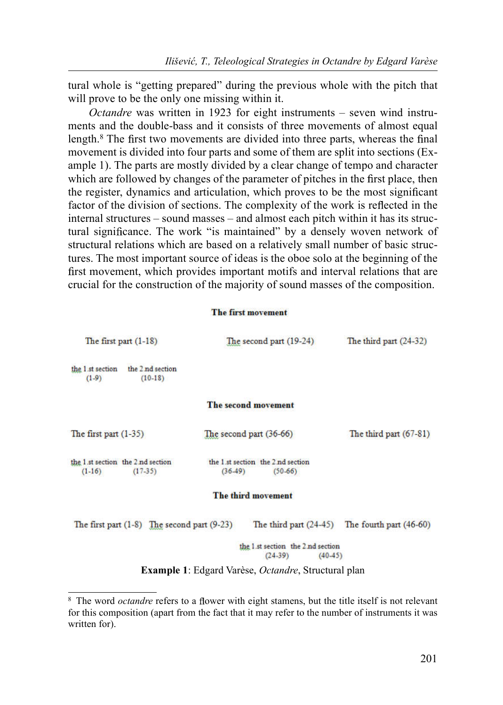tural whole is "getting prepared" during the previous whole with the pitch that will prove to be the only one missing within it.

Octandre was written in 1923 for eight instruments – seven wind instruments and the double-bass and it consists of three movements of almost equal length.<sup>8</sup> The first two movements are divided into three parts, whereas the final movement is divided into four parts and some of them are split into sections (Example 1). The parts are mostly divided by a clear change of tempo and character which are followed by changes of the parameter of pitches in the first place, then the register, dynamics and articulation, which proves to be the most significant factor of the division of sections. The complexity of the work is reflected in the internal structures – sound masses – and almost each pitch within it has its structural significance. The work "is maintained" by a densely woven network of structural relations which are based on a relatively small number of basic structures. The most important source of ideas is the oboe solo at the beginning of the first movement, which provides important motifs and interval relations that are crucial for the construction of the majority of sound masses of the composition.

#### The first movement

| The second part (19-24)                                     | The third part $(24-32)$                        |
|-------------------------------------------------------------|-------------------------------------------------|
|                                                             |                                                 |
| The second movement                                         |                                                 |
| The second part $(36-66)$                                   | The third part (67-81)                          |
| the 1.st section the 2 nd section<br>$(36-49)$<br>$(50-66)$ |                                                 |
| The third movement                                          |                                                 |
| The third part $(24-45)$                                    | The fourth part $(46-60)$                       |
| the 1.st section the 2.nd section<br>$(24-39)$              | $(40-45)$                                       |
|                                                             | The first part $(1-8)$ The second part $(9-23)$ |

Example 1: Edgard Varèse, Octandre, Structural plan

<sup>&</sup>lt;sup>8</sup> The word *octandre* refers to a flower with eight stamens, but the title itself is not relevant for this composition (apart from the fact that it may refer to the number of instruments it was written for).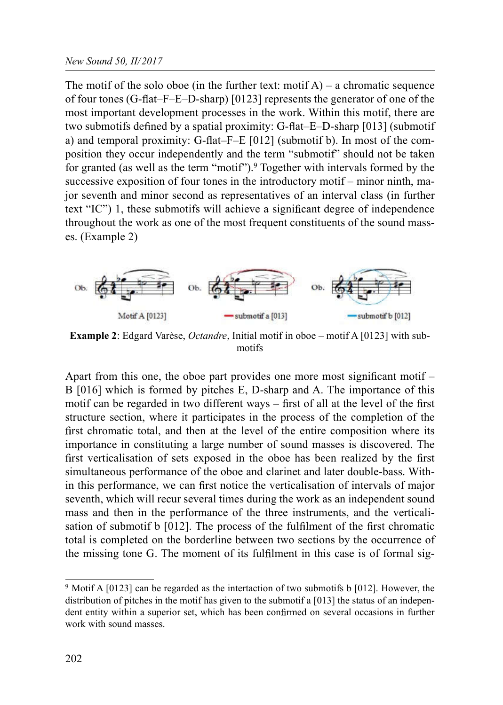The motif of the solo oboe (in the further text: motif  $A$ ) – a chromatic sequence of four tones (G-flat–F–E–D-sharp) [0123] represents the generator of one of the most important development processes in the work. Within this motif, there are two submotifs defined by a spatial proximity: G-flat–E–D-sharp  $[013]$  (submotif a) and temporal proximity: G-flat–F–E  $[012]$  (submotif b). In most of the composition they occur independently and the term "submotif" should not be taken for granted (as well as the term "motif").9 Together with intervals formed by the successive exposition of four tones in the introductory motif – minor ninth, major seventh and minor second as representatives of an interval class (in further text "IC") 1, these submotifs will achieve a significant degree of independence throughout the work as one of the most frequent constituents of the sound masses. (Example 2)



Example 2: Edgard Varèse, Octandre, Initial motif in oboe – motif A [0123] with submotifs

Apart from this one, the oboe part provides one more most significant motif  $-$ B [016] which is formed by pitches E, D-sharp and A. The importance of this motif can be regarded in two different ways  $-$  first of all at the level of the first structure section, where it participates in the process of the completion of the first chromatic total, and then at the level of the entire composition where its importance in constituting a large number of sound masses is discovered. The first verticalisation of sets exposed in the oboe has been realized by the first simultaneous performance of the oboe and clarinet and later double-bass. Within this performance, we can first notice the verticalisation of intervals of major seventh, which will recur several times during the work as an independent sound mass and then in the performance of the three instruments, and the verticalisation of submotif b  $[012]$ . The process of the fulfilment of the first chromatic total is completed on the borderline between two sections by the occurrence of the missing tone G. The moment of its fulfilment in this case is of formal sig-

<sup>9</sup> Motif A [0123] can be regarded as the intertaction of two submotifs b [012]. However, the distribution of pitches in the motif has given to the submotif a [013] the status of an independent entity within a superior set, which has been confirmed on several occasions in further work with sound masses.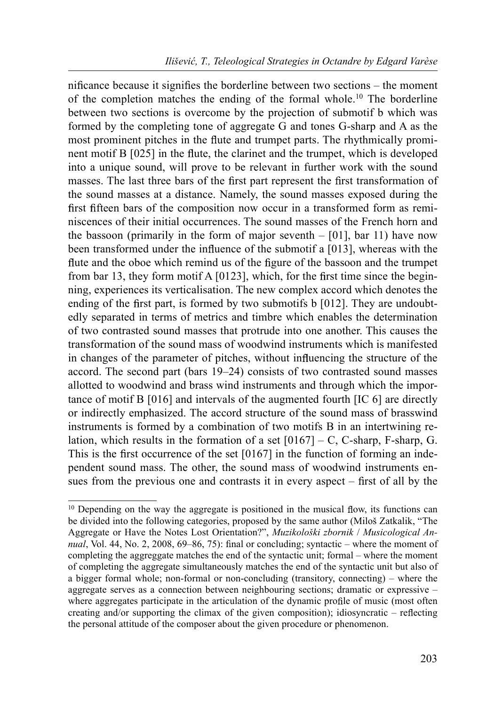nificance because it signifies the borderline between two sections  $-$  the moment of the completion matches the ending of the formal whole.10 The borderline between two sections is overcome by the projection of submotif b which was formed by the completing tone of aggregate G and tones G-sharp and A as the most prominent pitches in the flute and trumpet parts. The rhythmically prominent motif  $B [025]$  in the flute, the clarinet and the trumpet, which is developed into a unique sound, will prove to be relevant in further work with the sound masses. The last three bars of the first part represent the first transformation of the sound masses at a distance. Namely, the sound masses exposed during the first fifteen bars of the composition now occur in a transformed form as reminiscences of their initial occurrences. The sound masses of the French horn and the bassoon (primarily in the form of major seventh – [01], bar 11) have now been transformed under the influence of the submotif a [013], whereas with the flute and the oboe which remind us of the figure of the bassoon and the trumpet from bar 13, they form motif A  $[0123]$ , which, for the first time since the beginning, experiences its verticalisation. The new complex accord which denotes the ending of the first part, is formed by two submotifs b  $[012]$ . They are undoubtedly separated in terms of metrics and timbre which enables the determination of two contrasted sound masses that protrude into one another. This causes the transformation of the sound mass of woodwind instruments which is manifested in changes of the parameter of pitches, without influencing the structure of the accord. The second part (bars 19–24) consists of two contrasted sound masses allotted to woodwind and brass wind instruments and through which the importance of motif B [016] and intervals of the augmented fourth [IC 6] are directly or indirectly emphasized. The accord structure of the sound mass of brasswind instruments is formed by a combination of two motifs B in an intertwining relation, which results in the formation of a set  $[0167] - C$ , C-sharp, F-sharp, G. This is the first occurrence of the set  $[0167]$  in the function of forming an independent sound mass. The other, the sound mass of woodwind instruments ensues from the previous one and contrasts it in every aspect  $-$  first of all by the

 $10$  Depending on the way the aggregate is positioned in the musical flow, its functions can be divided into the following categories, proposed by the same author (Miloš Zatkalik, "The Aggregate or Have the Notes Lost Orientation?", Muzikološki zbornik / Musicological Annual, Vol. 44, No. 2, 2008,  $69-86$ , 75): final or concluding; syntactic – where the moment of completing the aggreggate matches the end of the syntactic unit; formal – where the moment of completing the aggregate simultaneously matches the end of the syntactic unit but also of a bigger formal whole; non-formal or non-concluding (transitory, connecting) – where the aggregate serves as a connection between neighbouring sections; dramatic or expressive – where aggregates participate in the articulation of the dynamic profile of music (most often creating and/or supporting the climax of the given composition); idiosyncratic – reflecting the personal attitude of the composer about the given procedure or phenomenon.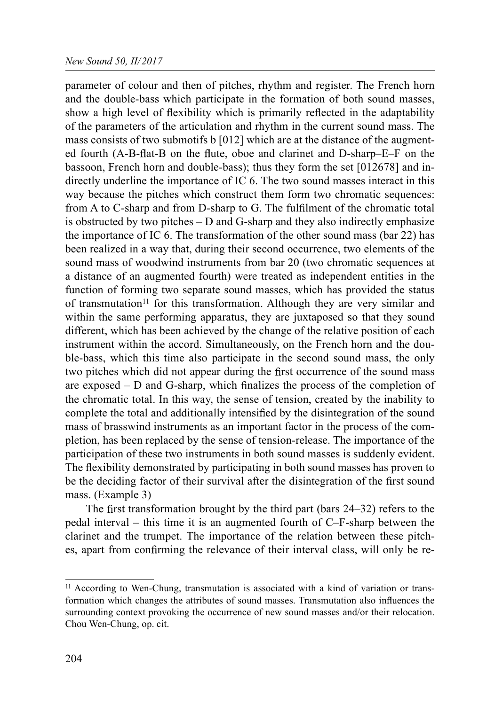parameter of colour and then of pitches, rhythm and register. The French horn and the double-bass which participate in the formation of both sound masses, show a high level of flexibility which is primarily reflected in the adaptability of the parameters of the articulation and rhythm in the current sound mass. The mass consists of two submotifs b [012] which are at the distance of the augmented fourth (A-B-flat-B on the flute, oboe and clarinet and D-sharp–E–F on the bassoon, French horn and double-bass); thus they form the set [012678] and indirectly underline the importance of IC 6. The two sound masses interact in this way because the pitches which construct them form two chromatic sequences: from A to C-sharp and from D-sharp to G. The fulfilment of the chromatic total is obstructed by two pitches  $-D$  and G-sharp and they also indirectly emphasize the importance of IC 6. The transformation of the other sound mass (bar 22) has been realized in a way that, during their second occurrence, two elements of the sound mass of woodwind instruments from bar 20 (two chromatic sequences at a distance of an augmented fourth) were treated as independent entities in the function of forming two separate sound masses, which has provided the status of transmutation<sup>11</sup> for this transformation. Although they are very similar and within the same performing apparatus, they are juxtaposed so that they sound different, which has been achieved by the change of the relative position of each instrument within the accord. Simultaneously, on the French horn and the double-bass, which this time also participate in the second sound mass, the only two pitches which did not appear during the first occurrence of the sound mass are exposed – D and G-sharp, which nalizes the process of the completion of the chromatic total. In this way, the sense of tension, created by the inability to complete the total and additionally intensified by the disintegration of the sound mass of brasswind instruments as an important factor in the process of the completion, has been replaced by the sense of tension-release. The importance of the participation of these two instruments in both sound masses is suddenly evident. The flexibility demonstrated by participating in both sound masses has proven to be the deciding factor of their survival after the disintegration of the first sound mass. (Example 3)

The first transformation brought by the third part (bars  $24-32$ ) refers to the pedal interval – this time it is an augmented fourth of C–F-sharp between the clarinet and the trumpet. The importance of the relation between these pitches, apart from confirming the relevance of their interval class, will only be re-

<sup>&</sup>lt;sup>11</sup> According to Wen-Chung, transmutation is associated with a kind of variation or transformation which changes the attributes of sound masses. Transmutation also influences the surrounding context provoking the occurrence of new sound masses and/or their relocation. Chou Wen-Chung, op. cit.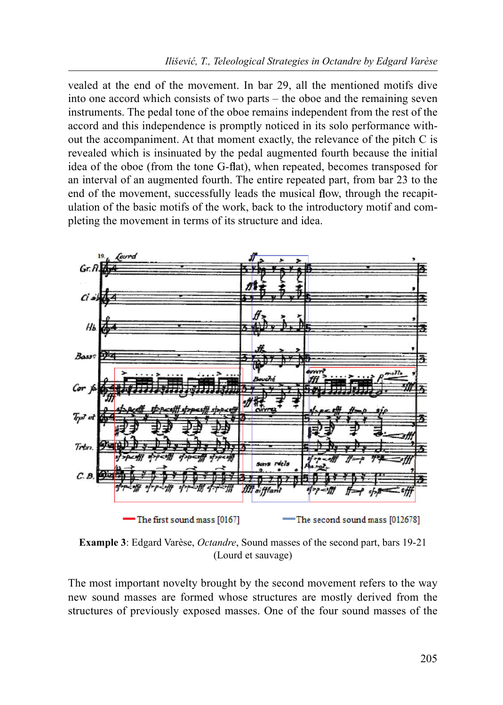vealed at the end of the movement. In bar 29, all the mentioned motifs dive into one accord which consists of two parts – the oboe and the remaining seven instruments. The pedal tone of the oboe remains independent from the rest of the accord and this independence is promptly noticed in its solo performance without the accompaniment. At that moment exactly, the relevance of the pitch C is revealed which is insinuated by the pedal augmented fourth because the initial idea of the oboe (from the tone G-flat), when repeated, becomes transposed for an interval of an augmented fourth. The entire repeated part, from bar 23 to the end of the movement, successfully leads the musical flow, through the recapitulation of the basic motifs of the work, back to the introductory motif and completing the movement in terms of its structure and idea.



Example 3: Edgard Varèse, Octandre, Sound masses of the second part, bars 19-21 (Lourd et sauvage)

The most important novelty brought by the second movement refers to the way new sound masses are formed whose structures are mostly derived from the structures of previously exposed masses. One of the four sound masses of the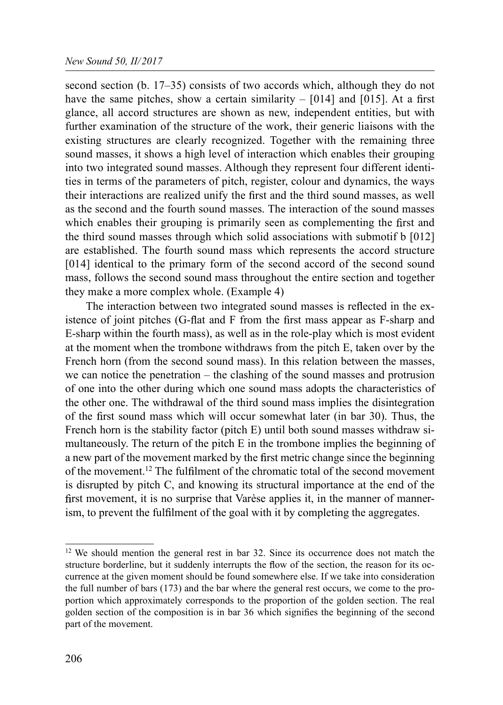second section (b. 17–35) consists of two accords which, although they do not have the same pitches, show a certain similarity  $-$  [014] and [015]. At a first glance, all accord structures are shown as new, independent entities, but with further examination of the structure of the work, their generic liaisons with the existing structures are clearly recognized. Together with the remaining three sound masses, it shows a high level of interaction which enables their grouping into two integrated sound masses. Although they represent four different identities in terms of the parameters of pitch, register, colour and dynamics, the ways their interactions are realized unify the first and the third sound masses, as well as the second and the fourth sound masses. The interaction of the sound masses which enables their grouping is primarily seen as complementing the first and the third sound masses through which solid associations with submotif b [012] are established. The fourth sound mass which represents the accord structure [014] identical to the primary form of the second accord of the second sound mass, follows the second sound mass throughout the entire section and together they make a more complex whole. (Example 4)

The interaction between two integrated sound masses is reflected in the existence of joint pitches (G-flat and  $F$  from the first mass appear as  $F$ -sharp and E-sharp within the fourth mass), as well as in the role-play which is most evident at the moment when the trombone withdraws from the pitch E, taken over by the French horn (from the second sound mass). In this relation between the masses, we can notice the penetration – the clashing of the sound masses and protrusion of one into the other during which one sound mass adopts the characteristics of the other one. The withdrawal of the third sound mass implies the disintegration of the first sound mass which will occur somewhat later (in bar 30). Thus, the French horn is the stability factor (pitch E) until both sound masses withdraw simultaneously. The return of the pitch E in the trombone implies the beginning of a new part of the movement marked by the first metric change since the beginning of the movement.<sup>12</sup> The ful filment of the chromatic total of the second movement is disrupted by pitch C, and knowing its structural importance at the end of the first movement, it is no surprise that Varèse applies it, in the manner of mannerism, to prevent the fulfilment of the goal with it by completing the aggregates.

 $12$  We should mention the general rest in bar 32. Since its occurrence does not match the structure borderline, but it suddenly interrupts the flow of the section, the reason for its occurrence at the given moment should be found somewhere else. If we take into consideration the full number of bars (173) and the bar where the general rest occurs, we come to the proportion which approximately corresponds to the proportion of the golden section. The real golden section of the composition is in bar 36 which signifies the beginning of the second part of the movement.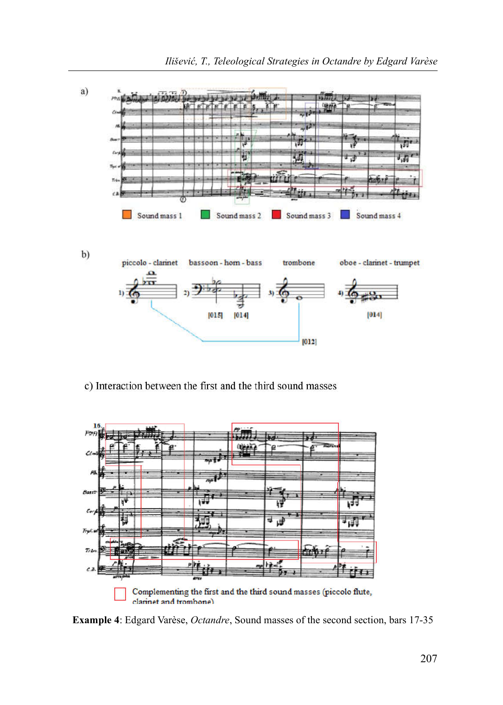

c) Interaction between the first and the third sound masses



Example 4: Edgard Varèse, Octandre, Sound masses of the second section, bars 17-35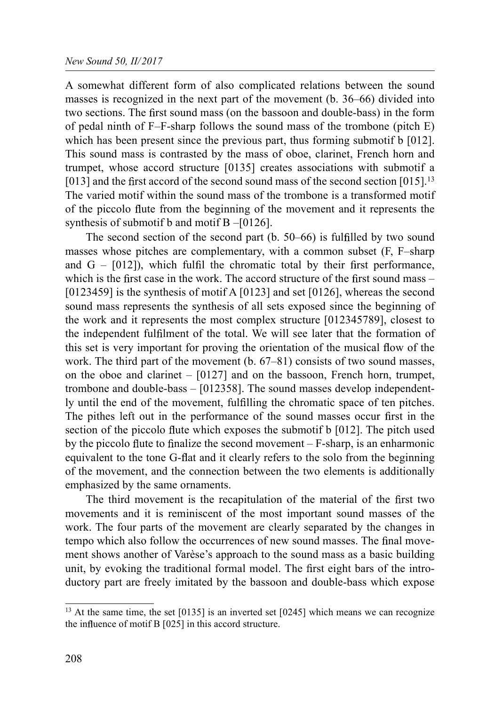A somewhat different form of also complicated relations between the sound masses is recognized in the next part of the movement (b. 36–66) divided into two sections. The first sound mass (on the bassoon and double-bass) in the form of pedal ninth of F–F-sharp follows the sound mass of the trombone (pitch E) which has been present since the previous part, thus forming submotif b [012]. This sound mass is contrasted by the mass of oboe, clarinet, French horn and trumpet, whose accord structure [0135] creates associations with submotif a [013] and the first accord of the second sound mass of the second section  $[015]$ .<sup>13</sup> The varied motif within the sound mass of the trombone is a transformed motif of the piccolo flute from the beginning of the movement and it represents the synthesis of submotif b and motif B –[0126].

The second section of the second part  $(b. 50-66)$  is fulfilled by two sound masses whose pitches are complementary, with a common subset (F, F–sharp and  $G - [012]$ , which fulfil the chromatic total by their first performance, which is the first case in the work. The accord structure of the first sound mass  $-$ [0123459] is the synthesis of motif A [0123] and set [0126], whereas the second sound mass represents the synthesis of all sets exposed since the beginning of the work and it represents the most complex structure [012345789], closest to the independent fulfilment of the total. We will see later that the formation of this set is very important for proving the orientation of the musical flow of the work. The third part of the movement (b. 67–81) consists of two sound masses, on the oboe and clarinet  $-$  [0127] and on the bassoon, French horn, trumpet, trombone and double-bass – [012358]. The sound masses develop independently until the end of the movement, fulfilling the chromatic space of ten pitches. The pithes left out in the performance of the sound masses occur first in the section of the piccolo flute which exposes the submotif  $b$  [012]. The pitch used by the piccolo flute to finalize the second movement  $-F\text{-sharp}$ , is an enharmonic equivalent to the tone G-flat and it clearly refers to the solo from the beginning of the movement, and the connection between the two elements is additionally emphasized by the same ornaments.

The third movement is the recapitulation of the material of the first two movements and it is reminiscent of the most important sound masses of the work. The four parts of the movement are clearly separated by the changes in tempo which also follow the occurrences of new sound masses. The final movement shows another of Varèse's approach to the sound mass as a basic building unit, by evoking the traditional formal model. The first eight bars of the introductory part are freely imitated by the bassoon and double-bass which expose

<sup>&</sup>lt;sup>13</sup> At the same time, the set [0135] is an inverted set [0245] which means we can recognize the influence of motif  $B$  [025] in this accord structure.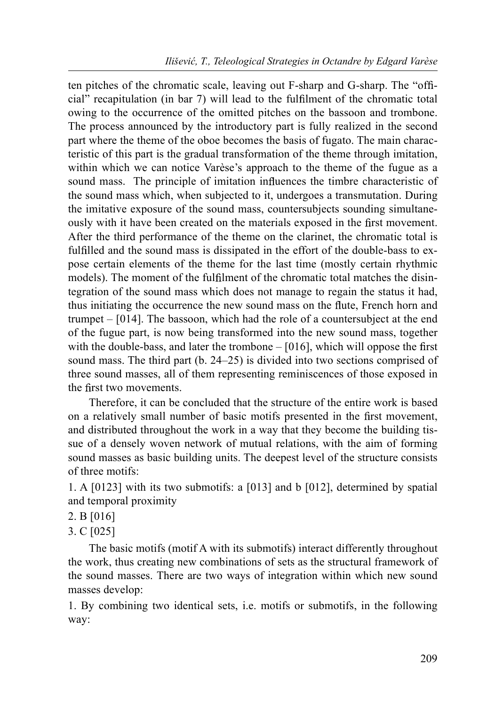ten pitches of the chromatic scale, leaving out F-sharp and G-sharp. The "official" recapitulation (in bar 7) will lead to the fulfilment of the chromatic total owing to the occurrence of the omitted pitches on the bassoon and trombone. The process announced by the introductory part is fully realized in the second part where the theme of the oboe becomes the basis of fugato. The main characteristic of this part is the gradual transformation of the theme through imitation, within which we can notice Varèse's approach to the theme of the fugue as a sound mass. The principle of imitation influences the timbre characteristic of the sound mass which, when subjected to it, undergoes a transmutation. During the imitative exposure of the sound mass, countersubjects sounding simultaneously with it have been created on the materials exposed in the first movement. After the third performance of the theme on the clarinet, the chromatic total is ful filled and the sound mass is dissipated in the effort of the double-bass to expose certain elements of the theme for the last time (mostly certain rhythmic models). The moment of the fulfilment of the chromatic total matches the disintegration of the sound mass which does not manage to regain the status it had, thus initiating the occurrence the new sound mass on the flute, French horn and trumpet – [014]. The bassoon, which had the role of a countersubject at the end of the fugue part, is now being transformed into the new sound mass, together with the double-bass, and later the trombone  $-$  [016], which will oppose the first sound mass. The third part (b. 24–25) is divided into two sections comprised of three sound masses, all of them representing reminiscences of those exposed in the first two movements.

Therefore, it can be concluded that the structure of the entire work is based on a relatively small number of basic motifs presented in the first movement, and distributed throughout the work in a way that they become the building tissue of a densely woven network of mutual relations, with the aim of forming sound masses as basic building units. The deepest level of the structure consists of three motifs:

1. A [0123] with its two submotifs: a [013] and b [012], determined by spatial and temporal proximity

2. B [016]

3. C [025]

The basic motifs (motif A with its submotifs) interact differently throughout the work, thus creating new combinations of sets as the structural framework of the sound masses. There are two ways of integration within which new sound masses develop:

1. By combining two identical sets, i.e. motifs or submotifs, in the following way: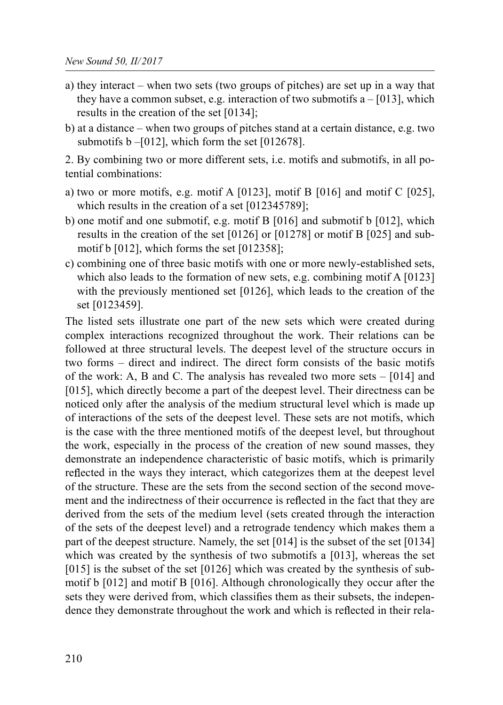- a) they interact when two sets (two groups of pitches) are set up in a way that they have a common subset, e.g. interaction of two submotifs  $a - [013]$ , which results in the creation of the set [0134];
- b) at a distance when two groups of pitches stand at a certain distance, e.g. two submotifs  $b - [012]$ , which form the set  $[012678]$ .

2. By combining two or more different sets, i.e. motifs and submotifs, in all potential combinations:

- a) two or more motifs, e.g. motif A  $[0123]$ , motif B  $[016]$  and motif C  $[025]$ , which results in the creation of a set [012345789];
- b) one motif and one submotif, e.g. motif B [016] and submotif b [012], which results in the creation of the set [0126] or [01278] or motif B [025] and submotif b [012], which forms the set [012358];
- c) combining one of three basic motifs with one or more newly-established sets, which also leads to the formation of new sets, e.g. combining motif A [0123] with the previously mentioned set [0126], which leads to the creation of the set [0123459].

The listed sets illustrate one part of the new sets which were created during complex interactions recognized throughout the work. Their relations can be followed at three structural levels. The deepest level of the structure occurs in two forms – direct and indirect. The direct form consists of the basic motifs of the work: A, B and C. The analysis has revealed two more sets – [014] and [015], which directly become a part of the deepest level. Their directness can be noticed only after the analysis of the medium structural level which is made up of interactions of the sets of the deepest level. These sets are not motifs, which is the case with the three mentioned motifs of the deepest level, but throughout the work, especially in the process of the creation of new sound masses, they demonstrate an independence characteristic of basic motifs, which is primarily reflected in the ways they interact, which categorizes them at the deepest level of the structure. These are the sets from the second section of the second movement and the indirectness of their occurrence is reflected in the fact that they are derived from the sets of the medium level (sets created through the interaction of the sets of the deepest level) and a retrograde tendency which makes them a part of the deepest structure. Namely, the set [014] is the subset of the set [0134] which was created by the synthesis of two submotifs a [013], whereas the set [015] is the subset of the set [0126] which was created by the synthesis of submotif b [012] and motif B [016]. Although chronologically they occur after the sets they were derived from, which classifies them as their subsets, the independence they demonstrate throughout the work and which is reflected in their rela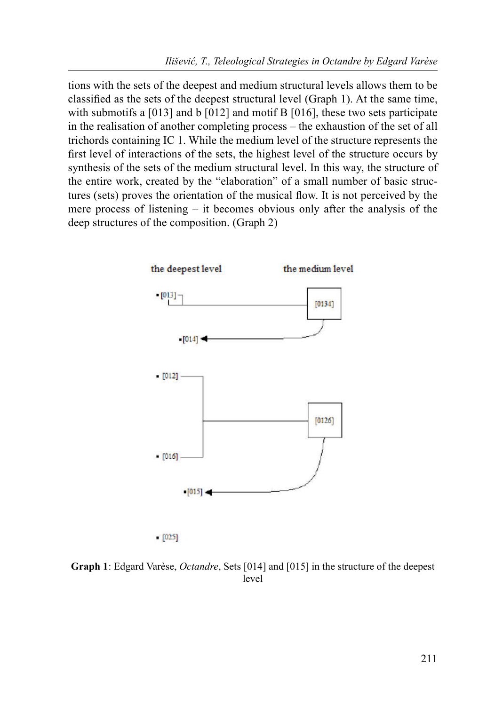tions with the sets of the deepest and medium structural levels allows them to be classi ed as the sets of the deepest structural level (Graph 1). At the same time, with submotifs a [013] and b [012] and motif B [016], these two sets participate in the realisation of another completing process – the exhaustion of the set of all trichords containing IC 1. While the medium level of the structure represents the first level of interactions of the sets, the highest level of the structure occurs by synthesis of the sets of the medium structural level. In this way, the structure of the entire work, created by the "elaboration" of a small number of basic structures (sets) proves the orientation of the musical flow. It is not perceived by the mere process of listening – it becomes obvious only after the analysis of the deep structures of the composition. (Graph 2)



 $[025]$ 

Graph 1: Edgard Varèse, Octandre, Sets [014] and [015] in the structure of the deepest level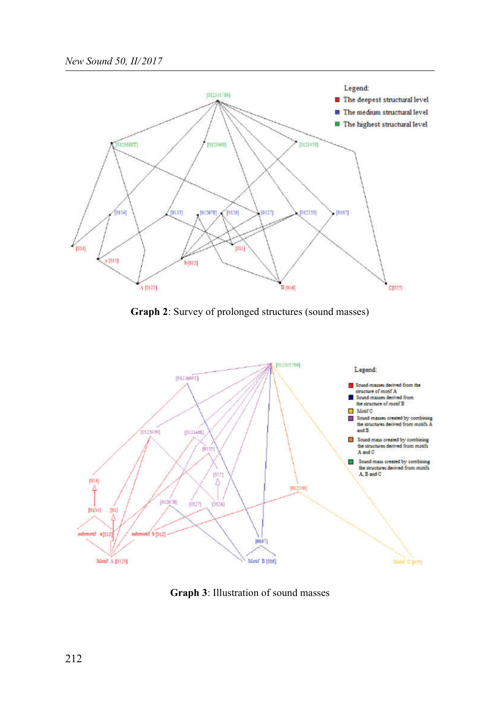

Graph 2: Survey of prolonged structures (sound masses)



Graph 3: Illustration of sound masses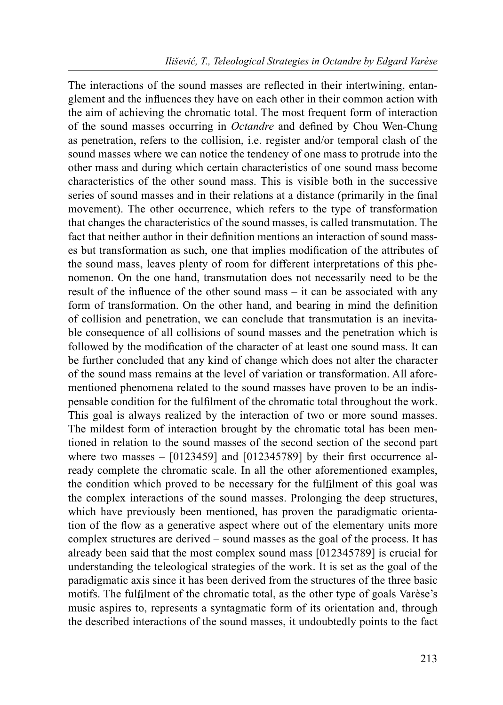The interactions of the sound masses are reflected in their intertwining, entanglement and the influences they have on each other in their common action with the aim of achieving the chromatic total. The most frequent form of interaction of the sound masses occurring in *Octandre* and defined by Chou Wen-Chung as penetration, refers to the collision, i.e. register and/or temporal clash of the sound masses where we can notice the tendency of one mass to protrude into the other mass and during which certain characteristics of one sound mass become characteristics of the other sound mass. This is visible both in the successive series of sound masses and in their relations at a distance (primarily in the final movement). The other occurrence, which refers to the type of transformation that changes the characteristics of the sound masses, is called transmutation. The fact that neither author in their definition mentions an interaction of sound masses but transformation as such, one that implies modification of the attributes of the sound mass, leaves plenty of room for different interpretations of this phenomenon. On the one hand, transmutation does not necessarily need to be the result of the influence of the other sound mass  $-$  it can be associated with any form of transformation. On the other hand, and bearing in mind the definition of collision and penetration, we can conclude that transmutation is an inevitable consequence of all collisions of sound masses and the penetration which is followed by the modification of the character of at least one sound mass. It can be further concluded that any kind of change which does not alter the character of the sound mass remains at the level of variation or transformation. All aforementioned phenomena related to the sound masses have proven to be an indispensable condition for the fulfilment of the chromatic total throughout the work. This goal is always realized by the interaction of two or more sound masses. The mildest form of interaction brought by the chromatic total has been mentioned in relation to the sound masses of the second section of the second part where two masses  $-$  [0123459] and [012345789] by their first occurrence already complete the chromatic scale. In all the other aforementioned examples, the condition which proved to be necessary for the fulfilment of this goal was the complex interactions of the sound masses. Prolonging the deep structures, which have previously been mentioned, has proven the paradigmatic orientation of the flow as a generative aspect where out of the elementary units more complex structures are derived – sound masses as the goal of the process. It has already been said that the most complex sound mass [012345789] is crucial for understanding the teleological strategies of the work. It is set as the goal of the paradigmatic axis since it has been derived from the structures of the three basic motifs. The fulfilment of the chromatic total, as the other type of goals Varèse's music aspires to, represents a syntagmatic form of its orientation and, through the described interactions of the sound masses, it undoubtedly points to the fact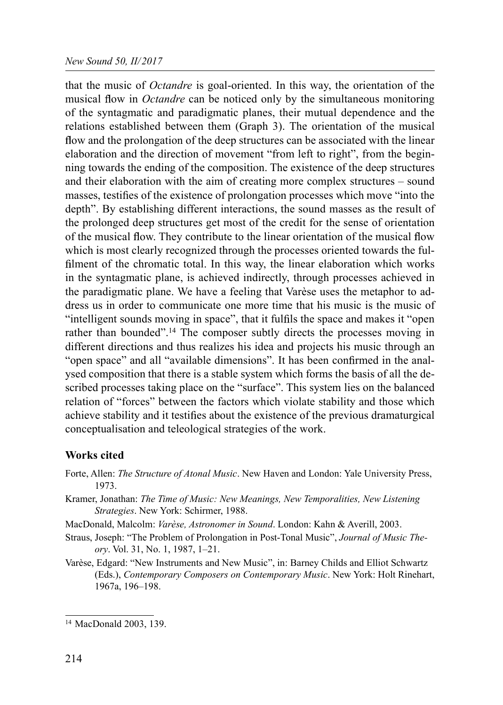that the music of Octandre is goal-oriented. In this way, the orientation of the musical flow in *Octandre* can be noticed only by the simultaneous monitoring of the syntagmatic and paradigmatic planes, their mutual dependence and the relations established between them (Graph 3). The orientation of the musical flow and the prolongation of the deep structures can be associated with the linear elaboration and the direction of movement "from left to right", from the beginning towards the ending of the composition. The existence of the deep structures and their elaboration with the aim of creating more complex structures – sound masses, testifies of the existence of prolongation processes which move "into the depth". By establishing different interactions, the sound masses as the result of the prolonged deep structures get most of the credit for the sense of orientation of the musical flow. They contribute to the linear orientation of the musical flow which is most clearly recognized through the processes oriented towards the ful filment of the chromatic total. In this way, the linear elaboration which works in the syntagmatic plane, is achieved indirectly, through processes achieved in the paradigmatic plane. We have a feeling that Varèse uses the metaphor to address us in order to communicate one more time that his music is the music of "intelligent sounds moving in space", that it fulfils the space and makes it "open" rather than bounded".<sup>14</sup> The composer subtly directs the processes moving in different directions and thus realizes his idea and projects his music through an "open space" and all "available dimensions". It has been confirmed in the analysed composition that there is a stable system which forms the basis of all the described processes taking place on the "surface". This system lies on the balanced relation of "forces" between the factors which violate stability and those which achieve stability and it testifies about the existence of the previous dramaturgical conceptualisation and teleological strategies of the work.

## Works cited

- Forte, Allen: *The Structure of Atonal Music*. New Haven and London: Yale University Press, 1973.
- Kramer, Jonathan: The Time of Music: New Meanings, New Temporalities, New Listening Strategies. New York: Schirmer, 1988.
- MacDonald, Malcolm: Varèse, Astronomer in Sound. London: Kahn & Averill, 2003.
- Straus, Joseph: "The Problem of Prolongation in Post-Tonal Music", Journal of Music Theory. Vol. 31, No. 1, 1987, 1–21.
- Varèse, Edgard: "New Instruments and New Music", in: Barney Childs and Elliot Schwartz (Еds.), Contemporary Composers on Contemporary Music. New York: Holt Rinehart, 1967а, 196–198.

<sup>14</sup> MacDonald 2003, 139.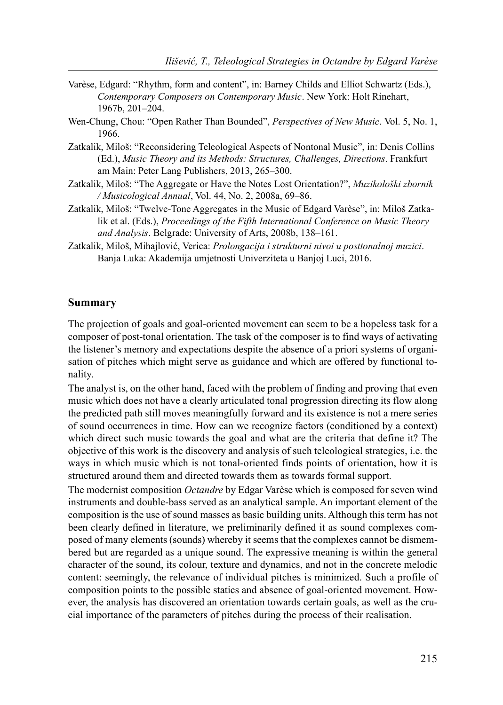- Varèse, Edgard: "Rhythm, form and content", in: Barney Childs and Elliot Schwartz (Еds.), Contemporary Composers on Contemporary Music. New York: Holt Rinehart, 1967b, 201–204.
- Wen-Chung, Chou: "Open Rather Than Bounded", *Perspectives of New Music*. Vol. 5, No. 1, 1966.
- Zatkalik, Miloš: "Reconsidering Teleological Aspects of Nontonal Music", in: Denis Collins (Еd.), Music Theory and its Methods: Structures, Challenges, Directions. Frankfurt am Main: Peter Lang Publishers, 2013, 265–300.
- Zatkalik, Miloš: "The Aggregate or Have the Notes Lost Orientation?", Muzikološki zbornik / Musicological Annual, Vol. 44, No. 2, 2008a, 69–86.
- Zatkalik, Miloš: "Twelve-Tone Aggregates in the Music of Edgard Varèse", in: Miloš Zatkalik et al. (Eds.), Proceedings of the Fifth International Conference on Music Theory and Analysis. Belgrade: University of Arts, 2008b, 138–161.
- Zatkalik, Miloš, Mihajlović, Verica: Prolongacija i strukturni nivoi u posttonalnoj muzici. Banja Luka: Akademija umjetnosti Univerziteta u Banjoj Luci, 2016.

#### Summary

The projection of goals and goal-oriented movement can seem to be a hopeless task for a composer of post-tonal orientation. The task of the composer is to find ways of activating the listener's memory and expectations despite the absence of a priori systems of organisation of pitches which might serve as guidance and which are offered by functional tonality.

The analyst is, on the other hand, faced with the problem of finding and proving that even music which does not have a clearly articulated tonal progression directing its flow along the predicted path still moves meaningfully forward and its existence is not a mere series of sound occurrences in time. How can we recognize factors (conditioned by a context) which direct such music towards the goal and what are the criteria that define it? The objective of this work is the discovery and analysis of such teleological strategies, i.e. the ways in which music which is not tonal-oriented finds points of orientation, how it is structured around them and directed towards them as towards formal support.

The modernist composition Octandre by Edgar Varèse which is composed for seven wind instruments and double-bass served as an analytical sample. An important element of the composition is the use of sound masses as basic building units. Although this term has not been clearly defined in literature, we preliminarily defined it as sound complexes composed of many elements (sounds) whereby it seems that the complexes cannot be dismembered but are regarded as a unique sound. The expressive meaning is within the general character of the sound, its colour, texture and dynamics, and not in the concrete melodic content: seemingly, the relevance of individual pitches is minimized. Such a profile of composition points to the possible statics and absence of goal-oriented movement. However, the analysis has discovered an orientation towards certain goals, as well as the crucial importance of the parameters of pitches during the process of their realisation.